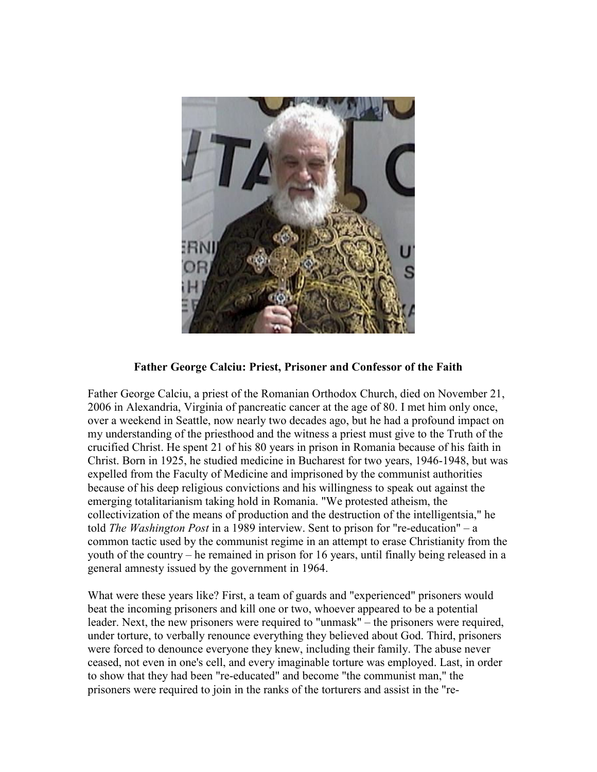

## Father George Calciu: Priest, Prisoner and Confessor of the Faith

Father George Calciu, a priest of the Romanian Orthodox Church, died on November 21, 2006 in Alexandria, Virginia of pancreatic cancer at the age of 80. I met him only once, over a weekend in Seattle, now nearly two decades ago, but he had a profound impact on my understanding of the priesthood and the witness a priest must give to the Truth of the crucified Christ. He spent 21 of his 80 years in prison in Romania because of his faith in Christ. Born in 1925, he studied medicine in Bucharest for two years, 1946-1948, but was expelled from the Faculty of Medicine and imprisoned by the communist authorities because of his deep religious convictions and his willingness to speak out against the emerging totalitarianism taking hold in Romania. "We protested atheism, the collectivization of the means of production and the destruction of the intelligentsia," he told The Washington Post in a 1989 interview. Sent to prison for "re-education" – a common tactic used by the communist regime in an attempt to erase Christianity from the youth of the country – he remained in prison for 16 years, until finally being released in a general amnesty issued by the government in 1964.

What were these years like? First, a team of guards and "experienced" prisoners would beat the incoming prisoners and kill one or two, whoever appeared to be a potential leader. Next, the new prisoners were required to "unmask" – the prisoners were required, under torture, to verbally renounce everything they believed about God. Third, prisoners were forced to denounce everyone they knew, including their family. The abuse never ceased, not even in one's cell, and every imaginable torture was employed. Last, in order to show that they had been "re-educated" and become "the communist man," the prisoners were required to join in the ranks of the torturers and assist in the "re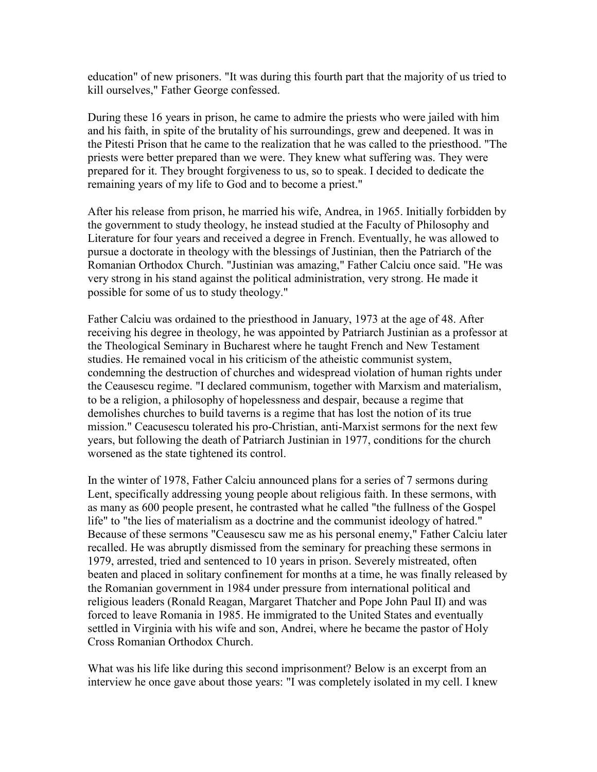education" of new prisoners. "It was during this fourth part that the majority of us tried to kill ourselves," Father George confessed.

During these 16 years in prison, he came to admire the priests who were jailed with him and his faith, in spite of the brutality of his surroundings, grew and deepened. It was in the Pitesti Prison that he came to the realization that he was called to the priesthood. "The priests were better prepared than we were. They knew what suffering was. They were prepared for it. They brought forgiveness to us, so to speak. I decided to dedicate the remaining years of my life to God and to become a priest."

After his release from prison, he married his wife, Andrea, in 1965. Initially forbidden by the government to study theology, he instead studied at the Faculty of Philosophy and Literature for four years and received a degree in French. Eventually, he was allowed to pursue a doctorate in theology with the blessings of Justinian, then the Patriarch of the Romanian Orthodox Church. "Justinian was amazing," Father Calciu once said. "He was very strong in his stand against the political administration, very strong. He made it possible for some of us to study theology."

Father Calciu was ordained to the priesthood in January, 1973 at the age of 48. After receiving his degree in theology, he was appointed by Patriarch Justinian as a professor at the Theological Seminary in Bucharest where he taught French and New Testament studies. He remained vocal in his criticism of the atheistic communist system, condemning the destruction of churches and widespread violation of human rights under the Ceausescu regime. "I declared communism, together with Marxism and materialism, to be a religion, a philosophy of hopelessness and despair, because a regime that demolishes churches to build taverns is a regime that has lost the notion of its true mission." Ceacusescu tolerated his pro-Christian, anti-Marxist sermons for the next few years, but following the death of Patriarch Justinian in 1977, conditions for the church worsened as the state tightened its control.

In the winter of 1978, Father Calciu announced plans for a series of 7 sermons during Lent, specifically addressing young people about religious faith. In these sermons, with as many as 600 people present, he contrasted what he called "the fullness of the Gospel life" to "the lies of materialism as a doctrine and the communist ideology of hatred." Because of these sermons "Ceausescu saw me as his personal enemy," Father Calciu later recalled. He was abruptly dismissed from the seminary for preaching these sermons in 1979, arrested, tried and sentenced to 10 years in prison. Severely mistreated, often beaten and placed in solitary confinement for months at a time, he was finally released by the Romanian government in 1984 under pressure from international political and religious leaders (Ronald Reagan, Margaret Thatcher and Pope John Paul II) and was forced to leave Romania in 1985. He immigrated to the United States and eventually settled in Virginia with his wife and son, Andrei, where he became the pastor of Holy Cross Romanian Orthodox Church.

What was his life like during this second imprisonment? Below is an excerpt from an interview he once gave about those years: "I was completely isolated in my cell. I knew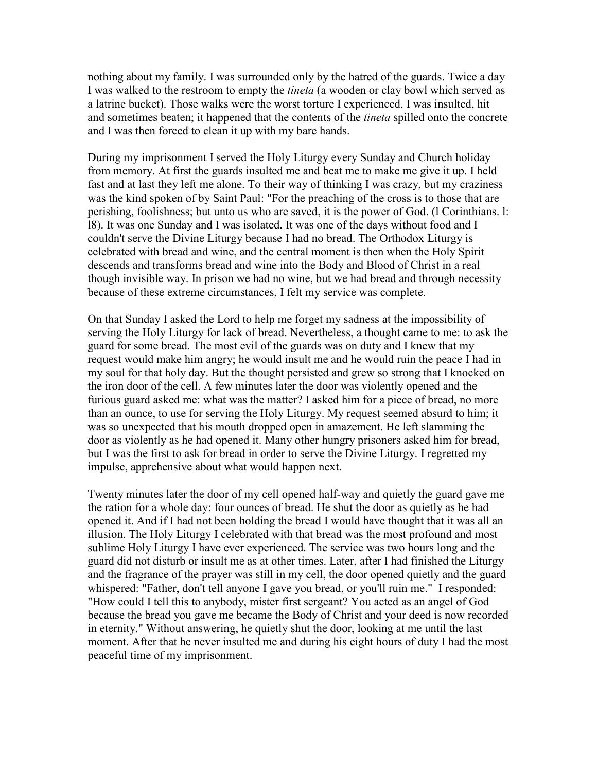nothing about my family. I was surrounded only by the hatred of the guards. Twice a day I was walked to the restroom to empty the *tineta* (a wooden or clay bowl which served as a latrine bucket). Those walks were the worst torture I experienced. I was insulted, hit and sometimes beaten; it happened that the contents of the *tineta* spilled onto the concrete and I was then forced to clean it up with my bare hands.

During my imprisonment I served the Holy Liturgy every Sunday and Church holiday from memory. At first the guards insulted me and beat me to make me give it up. I held fast and at last they left me alone. To their way of thinking I was crazy, but my craziness was the kind spoken of by Saint Paul: "For the preaching of the cross is to those that are perishing, foolishness; but unto us who are saved, it is the power of God. (l Corinthians. l: l8). It was one Sunday and I was isolated. It was one of the days without food and I couldn't serve the Divine Liturgy because I had no bread. The Orthodox Liturgy is celebrated with bread and wine, and the central moment is then when the Holy Spirit descends and transforms bread and wine into the Body and Blood of Christ in a real though invisible way. In prison we had no wine, but we had bread and through necessity because of these extreme circumstances, I felt my service was complete.

On that Sunday I asked the Lord to help me forget my sadness at the impossibility of serving the Holy Liturgy for lack of bread. Nevertheless, a thought came to me: to ask the guard for some bread. The most evil of the guards was on duty and I knew that my request would make him angry; he would insult me and he would ruin the peace I had in my soul for that holy day. But the thought persisted and grew so strong that I knocked on the iron door of the cell. A few minutes later the door was violently opened and the furious guard asked me: what was the matter? I asked him for a piece of bread, no more than an ounce, to use for serving the Holy Liturgy. My request seemed absurd to him; it was so unexpected that his mouth dropped open in amazement. He left slamming the door as violently as he had opened it. Many other hungry prisoners asked him for bread, but I was the first to ask for bread in order to serve the Divine Liturgy. I regretted my impulse, apprehensive about what would happen next.

Twenty minutes later the door of my cell opened half-way and quietly the guard gave me the ration for a whole day: four ounces of bread. He shut the door as quietly as he had opened it. And if I had not been holding the bread I would have thought that it was all an illusion. The Holy Liturgy I celebrated with that bread was the most profound and most sublime Holy Liturgy I have ever experienced. The service was two hours long and the guard did not disturb or insult me as at other times. Later, after I had finished the Liturgy and the fragrance of the prayer was still in my cell, the door opened quietly and the guard whispered: "Father, don't tell anyone I gave you bread, or you'll ruin me." I responded: "How could I tell this to anybody, mister first sergeant? You acted as an angel of God because the bread you gave me became the Body of Christ and your deed is now recorded in eternity." Without answering, he quietly shut the door, looking at me until the last moment. After that he never insulted me and during his eight hours of duty I had the most peaceful time of my imprisonment.